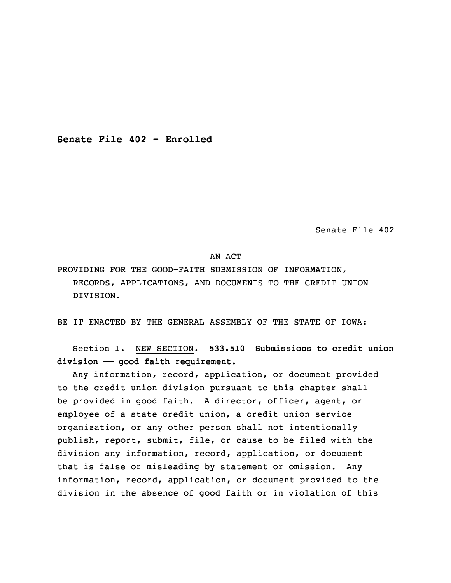**Senate File 402 - Enrolled**

Senate File 402

## AN ACT

PROVIDING FOR THE GOOD-FAITH SUBMISSION OF INFORMATION, RECORDS, APPLICATIONS, AND DOCUMENTS TO THE CREDIT UNION DIVISION.

BE IT ENACTED BY THE GENERAL ASSEMBLY OF THE STATE OF IOWA:

 Section 1. NEW SECTION. **533.510 Submissions to credit union division —— good faith requirement.**

Any information, record, application, or document provided to the credit union division pursuant to this chapter shall be provided in good faith. A director, officer, agent, or employee of a state credit union, a credit union service organization, or any other person shall not intentionally publish, report, submit, file, or cause to be filed with the division any information, record, application, or document that is false or misleading by statement or omission. Any information, record, application, or document provided to the division in the absence of good faith or in violation of this